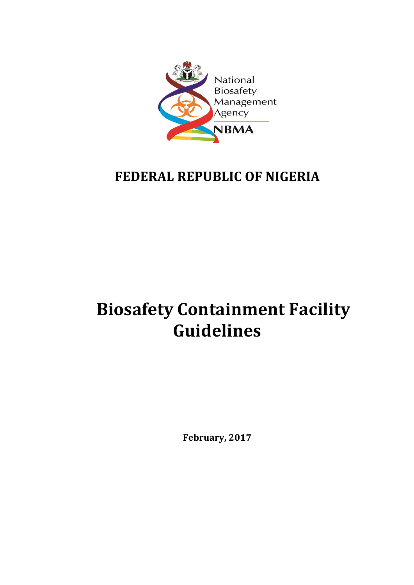

# **FEDERAL REPUBLIC OF NIGERIA**

# **Biosafety Containment Facility Guidelines**

**February, 2017**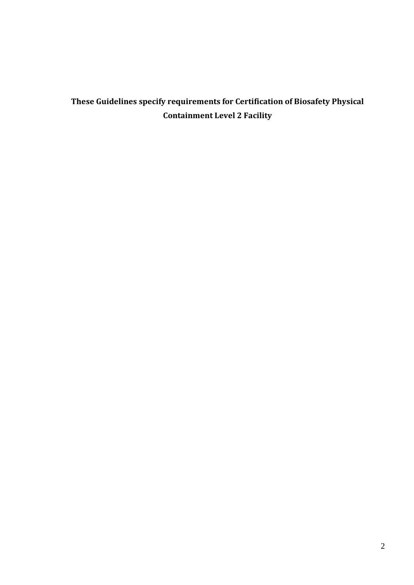# **These Guidelines specify requirements for Certification of Biosafety Physical Containment Level 2 Facility**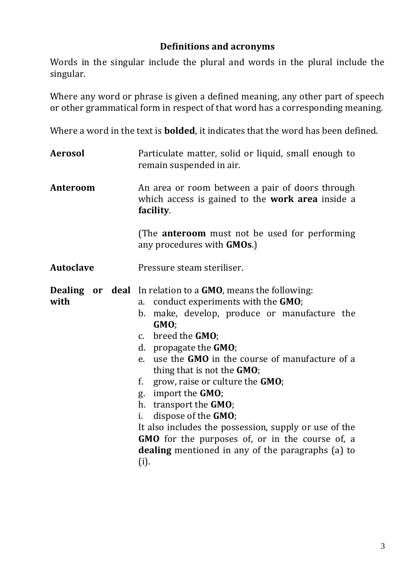#### **Definitions and acronyms**

Words in the singular include the plural and words in the plural include the singular.

Where any word or phrase is given a defined meaning, any other part of speech or other grammatical form in respect of that word has a corresponding meaning.

Where a word in the text is **bolded**, it indicates that the word has been defined.

**Aerosol** Particulate matter, solid or liquid, small enough to remain suspended in air. **Anteroom** An area or room between a pair of doors through which access is gained to the **work area** inside a **facility**. (The **anteroom** must not be used for performing any procedures with **GMOs**.) **Autoclave** Pressure steam steriliser.

**Dealing or deal**  In relation to a **GMO**, means the following: **with**

- a. conduct experiments with the **GMO**;
	- b. make, develop, produce or manufacture the **GMO**;
	- c. breed the **GMO**;
	- d. propagate the **GMO**;
	- e. use the **GMO** in the course of manufacture of a thing that is not the **GMO**;
	- f. grow, raise or culture the **GMO**;
	- g. import the **GMO**;
	- h. transport the **GMO**;
	- i. dispose of the **GMO**;

It also includes the possession, supply or use of the **GMO** for the purposes of, or in the course of, a **dealing** mentioned in any of the paragraphs (a) to (i).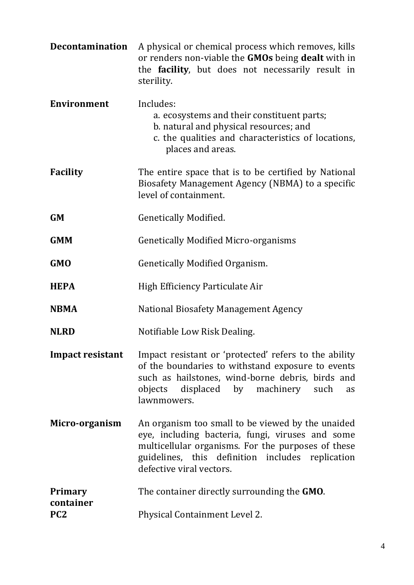| <b>Decontamination</b>                  | A physical or chemical process which removes, kills<br>or renders non-viable the <b>GMOs</b> being <b>dealt</b> with in<br>the facility, but does not necessarily result in<br>sterility.                                                   |
|-----------------------------------------|---------------------------------------------------------------------------------------------------------------------------------------------------------------------------------------------------------------------------------------------|
| <b>Environment</b>                      | Includes:<br>a. ecosystems and their constituent parts;<br>b. natural and physical resources; and<br>c. the qualities and characteristics of locations,<br>places and areas.                                                                |
| <b>Facility</b>                         | The entire space that is to be certified by National<br>Biosafety Management Agency (NBMA) to a specific<br>level of containment.                                                                                                           |
| <b>GM</b>                               | <b>Genetically Modified.</b>                                                                                                                                                                                                                |
| <b>GMM</b>                              | <b>Genetically Modified Micro-organisms</b>                                                                                                                                                                                                 |
| <b>GMO</b>                              | <b>Genetically Modified Organism.</b>                                                                                                                                                                                                       |
| <b>HEPA</b>                             | High Efficiency Particulate Air                                                                                                                                                                                                             |
| <b>NBMA</b>                             | National Biosafety Management Agency                                                                                                                                                                                                        |
| <b>NLRD</b>                             | Notifiable Low Risk Dealing.                                                                                                                                                                                                                |
| <b>Impact resistant</b>                 | Impact resistant or 'protected' refers to the ability<br>of the boundaries to withstand exposure to events<br>such as hailstones, wind-borne debris, birds and<br>objects displaced by machinery such<br>as<br>lawnmowers.                  |
| Micro-organism                          | An organism too small to be viewed by the unaided<br>eye, including bacteria, fungi, viruses and some<br>multicellular organisms. For the purposes of these<br>guidelines, this definition includes replication<br>defective viral vectors. |
| Primary<br>container<br>PC <sub>2</sub> | The container directly surrounding the GMO.<br>Physical Containment Level 2.                                                                                                                                                                |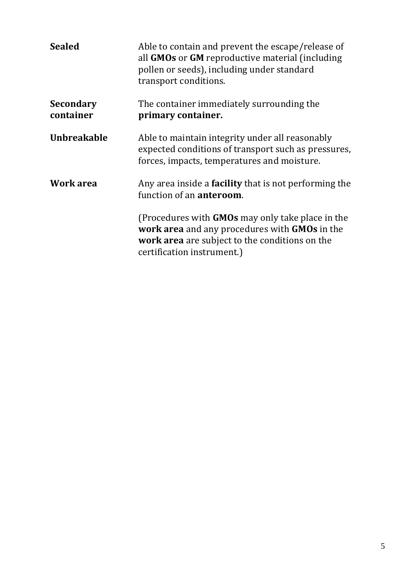| <b>Sealed</b>                 | Able to contain and prevent the escape/release of<br>all GMOs or GM reproductive material (including<br>pollen or seeds), including under standard<br>transport conditions.       |
|-------------------------------|-----------------------------------------------------------------------------------------------------------------------------------------------------------------------------------|
| <b>Secondary</b><br>container | The container immediately surrounding the<br>primary container.                                                                                                                   |
| <b>Unbreakable</b>            | Able to maintain integrity under all reasonably<br>expected conditions of transport such as pressures,<br>forces, impacts, temperatures and moisture.                             |
| Work area                     | Any area inside a <b>facility</b> that is not performing the<br>function of an <b>anteroom</b> .                                                                                  |
|                               | (Procedures with GMOs may only take place in the<br>work area and any procedures with GMOs in the<br>work area are subject to the conditions on the<br>certification instrument.) |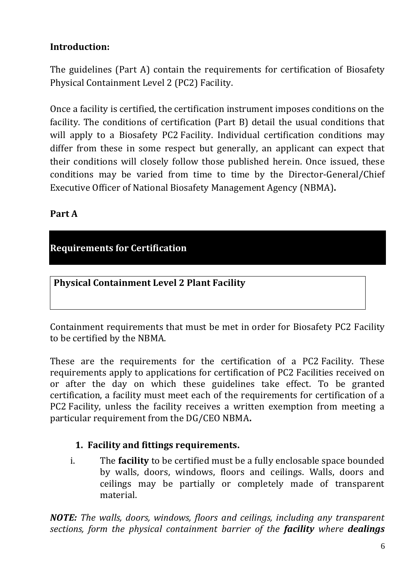# **Introduction:**

The guidelines (Part A) contain the requirements for certification of Biosafety Physical Containment Level 2 (PC2) Facility.

Once a facility is certified, the certification instrument imposes conditions on the facility. The conditions of certification (Part B) detail the usual conditions that will apply to a Biosafety PC2 Facility. Individual certification conditions may differ from these in some respect but generally, an applicant can expect that their conditions will closely follow those published herein. Once issued, these conditions may be varied from time to time by the Director-General/Chief Executive Officer of National Biosafety Management Agency (NBMA)**.**

#### **Part A**

## **Requirements for Certification**

**Physical Containment Level 2 Plant Facility**

Containment requirements that must be met in order for Biosafety PC2 Facility to be certified by the NBMA.

These are the requirements for the certification of a PC2 Facility. These requirements apply to applications for certification of PC2 Facilities received on or after the day on which these guidelines take effect. To be granted certification, a facility must meet each of the requirements for certification of a PC2 Facility, unless the facility receives a written exemption from meeting a particular requirement from the DG/CEO NBMA**.**

#### **1. Facility and fittings requirements.**

i. The **facility** to be certified must be a fully enclosable space bounded by walls, doors, windows, floors and ceilings. Walls, doors and ceilings may be partially or completely made of transparent material.

*NOTE: The walls, doors, windows, floors and ceilings, including any transparent sections, form the physical containment barrier of the facility where dealings*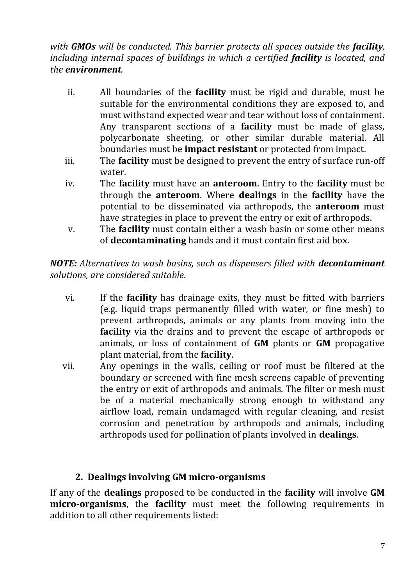*with GMOs will be conducted. This barrier protects all spaces outside the facility, including internal spaces of buildings in which a certified facility is located, and the environment.*

- ii. All boundaries of the **facility** must be rigid and durable, must be suitable for the environmental conditions they are exposed to, and must withstand expected wear and tear without loss of containment. Any transparent sections of a **facility** must be made of glass, polycarbonate sheeting, or other similar durable material. All boundaries must be **impact resistant** or protected from impact.
- iii. The **facility** must be designed to prevent the entry of surface run-off water.
- iv. The **facility** must have an **anteroom**. Entry to the **facility** must be through the **anteroom**. Where **dealings** in the **facility** have the potential to be disseminated via arthropods, the **anteroom** must have strategies in place to prevent the entry or exit of arthropods.
- v. The **facility** must contain either a wash basin or some other means of **decontaminating** hands and it must contain first aid box.

*NOTE: Alternatives to wash basins, such as dispensers filled with decontaminant solutions, are considered suitable*.

- vi. If the **facility** has drainage exits, they must be fitted with barriers (e.g. liquid traps permanently filled with water, or fine mesh) to prevent arthropods, animals or any plants from moving into the **facility** via the drains and to prevent the escape of arthropods or animals, or loss of containment of **GM** plants or **GM** propagative plant material, from the **facility**.
- vii. Any openings in the walls, ceiling or roof must be filtered at the boundary or screened with fine mesh screens capable of preventing the entry or exit of arthropods and animals. The filter or mesh must be of a material mechanically strong enough to withstand any airflow load, remain undamaged with regular cleaning, and resist corrosion and penetration by arthropods and animals, including arthropods used for pollination of plants involved in **dealings**.

#### **2. Dealings involving GM micro-organisms**

If any of the **dealings** proposed to be conducted in the **facility** will involve **GM micro-organisms**, the **facility** must meet the following requirements in addition to all other requirements listed: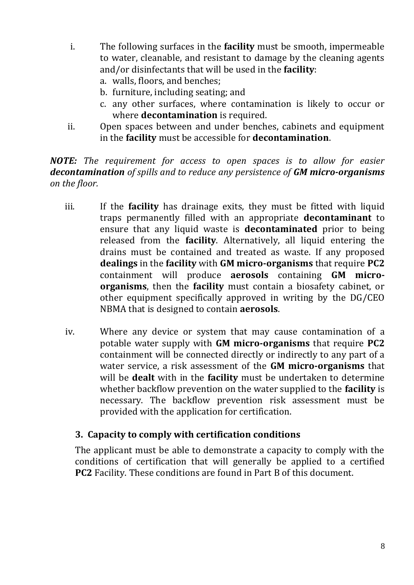- i. The following surfaces in the **facility** must be smooth, impermeable to water, cleanable, and resistant to damage by the cleaning agents and/or disinfectants that will be used in the **facility**:
	- a. walls, floors, and benches;
	- b. furniture, including seating; and
	- c. any other surfaces, where contamination is likely to occur or where **decontamination** is required.
- ii. Open spaces between and under benches, cabinets and equipment in the **facility** must be accessible for **decontamination**.

*NOTE: The requirement for access to open spaces is to allow for easier decontamination of spills and to reduce any persistence of GM micro-organisms on the floor.*

- iii. If the **facility** has drainage exits, they must be fitted with liquid traps permanently filled with an appropriate **decontaminant** to ensure that any liquid waste is **decontaminated** prior to being released from the **facility**. Alternatively, all liquid entering the drains must be contained and treated as waste. If any proposed **dealings** in the **facility** with **GM micro-organisms** that require **PC2** containment will produce **aerosols** containing **GM microorganisms**, then the **facility** must contain a biosafety cabinet, or other equipment specifically approved in writing by the DG/CEO NBMA that is designed to contain **aerosols**.
- iv. Where any device or system that may cause contamination of a potable water supply with **GM micro-organisms** that require **PC2**  containment will be connected directly or indirectly to any part of a water service, a risk assessment of the **GM micro-organisms** that will be **dealt** with in the **facility** must be undertaken to determine whether backflow prevention on the water supplied to the **facility** is necessary. The backflow prevention risk assessment must be provided with the application for certification.

#### **3. Capacity to comply with certification conditions**

The applicant must be able to demonstrate a capacity to comply with the conditions of certification that will generally be applied to a certified **PC2** Facility. These conditions are found in Part B of this document.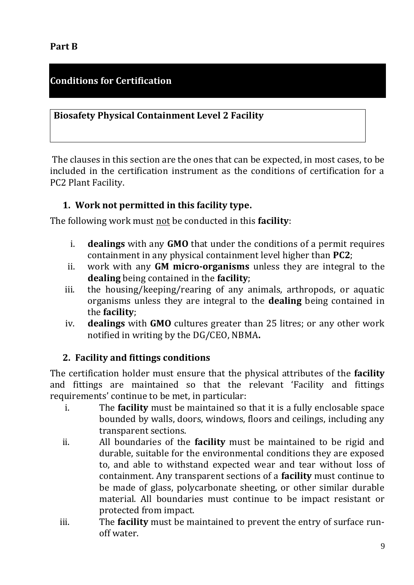# **Conditions for Certification**

#### **Biosafety Physical Containment Level 2 Facility**

The clauses in this section are the ones that can be expected, in most cases, to be included in the certification instrument as the conditions of certification for a PC2 Plant Facility.

#### **1. Work not permitted in this facility type.**

The following work must not be conducted in this **facility**:

- i. **dealings** with any **GMO** that under the conditions of a permit requires containment in any physical containment level higher than **PC2**;
- ii. work with any **GM micro-organisms** unless they are integral to the **dealing** being contained in the **facility**;
- iii. the housing/keeping/rearing of any animals, arthropods, or aquatic organisms unless they are integral to the **dealing** being contained in the **facility**;
- iv. **dealings** with **GMO** cultures greater than 25 litres; or any other work notified in writing by the DG/CEO, NBMA**.**

#### **2. Facility and fittings conditions**

The certification holder must ensure that the physical attributes of the **facility** and fittings are maintained so that the relevant 'Facility and fittings requirements' continue to be met, in particular:

- i. The **facility** must be maintained so that it is a fully enclosable space bounded by walls, doors, windows, floors and ceilings, including any transparent sections.
- ii. All boundaries of the **facility** must be maintained to be rigid and durable, suitable for the environmental conditions they are exposed to, and able to withstand expected wear and tear without loss of containment. Any transparent sections of a **facility** must continue to be made of glass, polycarbonate sheeting, or other similar durable material. All boundaries must continue to be impact resistant or protected from impact.
- iii. The **facility** must be maintained to prevent the entry of surface runoff water.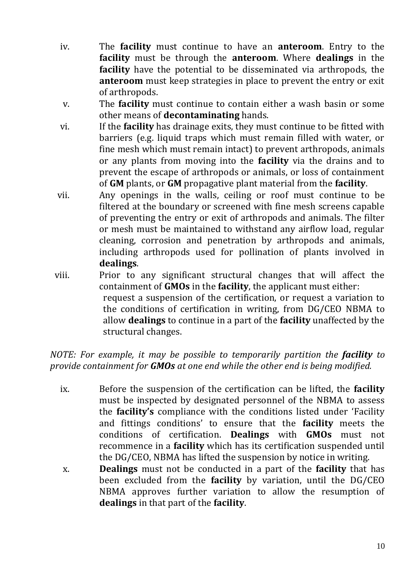- iv. The **facility** must continue to have an **anteroom**. Entry to the **facility** must be through the **anteroom**. Where **dealings** in the **facility** have the potential to be disseminated via arthropods, the **anteroom** must keep strategies in place to prevent the entry or exit of arthropods.
- v. The **facility** must continue to contain either a wash basin or some other means of **decontaminating** hands.
- vi. If the **facility** has drainage exits, they must continue to be fitted with barriers (e.g. liquid traps which must remain filled with water, or fine mesh which must remain intact) to prevent arthropods, animals or any plants from moving into the **facility** via the drains and to prevent the escape of arthropods or animals, or loss of containment of **GM** plants, or **GM** propagative plant material from the **facility**.
- vii. Any openings in the walls, ceiling or roof must continue to be filtered at the boundary or screened with fine mesh screens capable of preventing the entry or exit of arthropods and animals. The filter or mesh must be maintained to withstand any airflow load, regular cleaning, corrosion and penetration by arthropods and animals, including arthropods used for pollination of plants involved in **dealings**.
- viii. Prior to any significant structural changes that will affect the containment of **GMOs** in the **facility**, the applicant must either: request a suspension of the certification, or request a variation to the conditions of certification in writing, from DG/CEO NBMA to allow **dealings** to continue in a part of the **facility** unaffected by the structural changes.

*NOTE: For example, it may be possible to temporarily partition the facility to provide containment for GMOs at one end while the other end is being modified.*

- ix. Before the suspension of the certification can be lifted, the **facility** must be inspected by designated personnel of the NBMA to assess the **facility's** compliance with the conditions listed under 'Facility and fittings conditions' to ensure that the **facility** meets the conditions of certification. **Dealings** with **GMOs** must not recommence in a **facility** which has its certification suspended until the DG/CEO, NBMA has lifted the suspension by notice in writing.
- x. **Dealings** must not be conducted in a part of the **facility** that has been excluded from the **facility** by variation, until the DG/CEO NBMA approves further variation to allow the resumption of **dealings** in that part of the **facility**.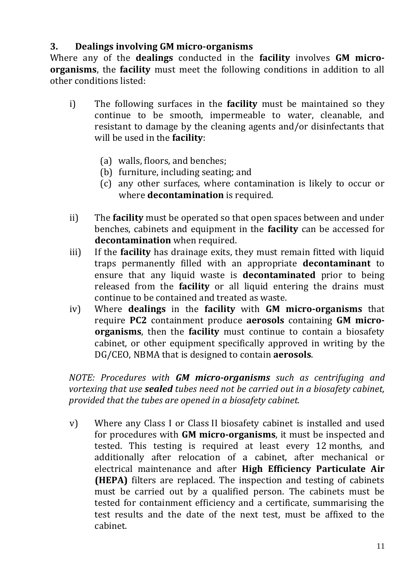#### **3. Dealings involving GM micro-organisms**

Where any of the **dealings** conducted in the **facility** involves **GM microorganisms**, the **facility** must meet the following conditions in addition to all other conditions listed:

- i) The following surfaces in the **facility** must be maintained so they continue to be smooth, impermeable to water, cleanable, and resistant to damage by the cleaning agents and/or disinfectants that will be used in the **facility**:
	- (a) walls, floors, and benches;
	- (b) furniture, including seating; and
	- (c) any other surfaces, where contamination is likely to occur or where **decontamination** is required.
- ii) The **facility** must be operated so that open spaces between and under benches, cabinets and equipment in the **facility** can be accessed for **decontamination** when required.
- iii) If the **facility** has drainage exits, they must remain fitted with liquid traps permanently filled with an appropriate **decontaminant** to ensure that any liquid waste is **decontaminated** prior to being released from the **facility** or all liquid entering the drains must continue to be contained and treated as waste.
- iv) Where **dealings** in the **facility** with **GM micro-organisms** that require **PC2** containment produce **aerosols** containing **GM microorganisms**, then the **facility** must continue to contain a biosafety cabinet, or other equipment specifically approved in writing by the DG/CEO, NBMA that is designed to contain **aerosols**.

*NOTE: Procedures with GM micro-organisms such as centrifuging and vortexing that use sealed tubes need not be carried out in a biosafety cabinet, provided that the tubes are opened in a biosafety cabinet.*

v) Where any Class I or Class II biosafety cabinet is installed and used for procedures with **GM micro-organisms**, it must be inspected and tested. This testing is required at least every 12 months, and additionally after relocation of a cabinet, after mechanical or electrical maintenance and after **High Efficiency Particulate Air (HEPA)** filters are replaced. The inspection and testing of cabinets must be carried out by a qualified person. The cabinets must be tested for containment efficiency and a certificate, summarising the test results and the date of the next test, must be affixed to the cabinet.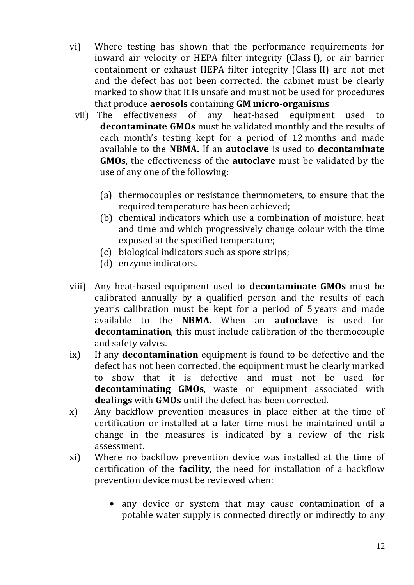- vi) Where testing has shown that the performance requirements for inward air velocity or HEPA filter integrity (Class I), or air barrier containment or exhaust HEPA filter integrity (Class II) are not met and the defect has not been corrected, the cabinet must be clearly marked to show that it is unsafe and must not be used for procedures that produce **aerosols** containing **GM micro-organisms**
	- vii) The effectiveness of any heat-based equipment used to **decontaminate GMOs** must be validated monthly and the results of each month's testing kept for a period of 12 months and made available to the **NBMA.** If an **autoclave** is used to **decontaminate GMOs**, the effectiveness of the **autoclave** must be validated by the use of any one of the following:
		- (a) thermocouples or resistance thermometers, to ensure that the required temperature has been achieved;
		- (b) chemical indicators which use a combination of moisture, heat and time and which progressively change colour with the time exposed at the specified temperature;
		- (c) biological indicators such as spore strips;
		- (d) enzyme indicators.
- viii) Any heat-based equipment used to **decontaminate GMOs** must be calibrated annually by a qualified person and the results of each year's calibration must be kept for a period of 5 years and made available to the **NBMA.** When an **autoclave** is used for **decontamination**, this must include calibration of the thermocouple and safety valves.
- ix) If any **decontamination** equipment is found to be defective and the defect has not been corrected, the equipment must be clearly marked to show that it is defective and must not be used for **decontaminating GMOs**, waste or equipment associated with **dealings** with **GMOs** until the defect has been corrected.
- x) Any backflow prevention measures in place either at the time of certification or installed at a later time must be maintained until a change in the measures is indicated by a review of the risk assessment.
- xi) Where no backflow prevention device was installed at the time of certification of the **facility**, the need for installation of a backflow prevention device must be reviewed when:
	- any device or system that may cause contamination of a potable water supply is connected directly or indirectly to any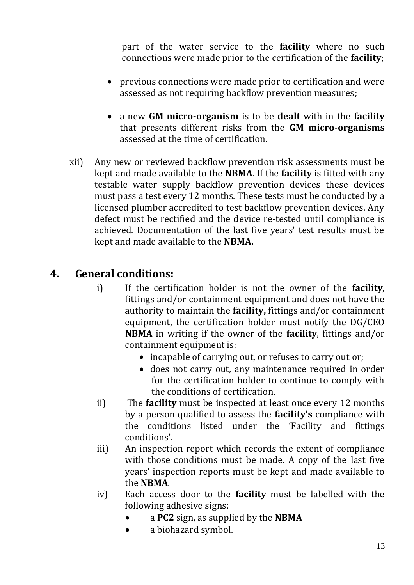part of the water service to the **facility** where no such connections were made prior to the certification of the **facility**;

- previous connections were made prior to certification and were assessed as not requiring backflow prevention measures;
- a new **GM micro-organism** is to be **dealt** with in the **facility** that presents different risks from the **GM micro-organisms** assessed at the time of certification.
- xii) Any new or reviewed backflow prevention risk assessments must be kept and made available to the **NBMA**. If the **facility** is fitted with any testable water supply backflow prevention devices these devices must pass a test every 12 months. These tests must be conducted by a licensed plumber accredited to test backflow prevention devices. Any defect must be rectified and the device re-tested until compliance is achieved. Documentation of the last five years' test results must be kept and made available to the **NBMA.**

# **4. General conditions:**

- i) If the certification holder is not the owner of the **facility**, fittings and/or containment equipment and does not have the authority to maintain the **facility,** fittings and/or containment equipment, the certification holder must notify the DG/CEO **NBMA** in writing if the owner of the **facility**, fittings and/or containment equipment is:
	- incapable of carrying out, or refuses to carry out or;
	- does not carry out, any maintenance required in order for the certification holder to continue to comply with the conditions of certification.
- ii) The **facility** must be inspected at least once every 12 months by a person qualified to assess the **facility's** compliance with the conditions listed under the 'Facility and fittings conditions'.
- iii) An inspection report which records the extent of compliance with those conditions must be made. A copy of the last five years' inspection reports must be kept and made available to the **NBMA**.
- iv) Each access door to the **facility** must be labelled with the following adhesive signs:
	- a **PC2** sign, as supplied by the **NBMA**
	- a biohazard symbol.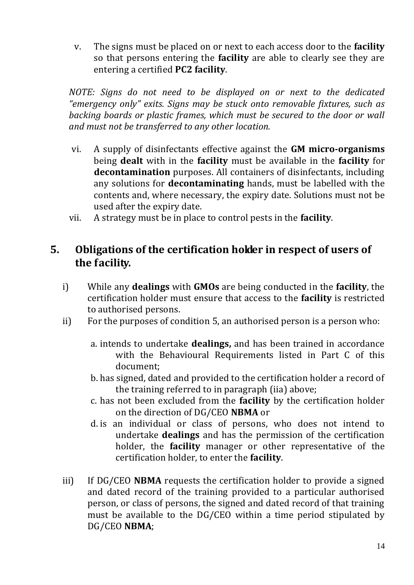v. The signs must be placed on or next to each access door to the **facility** so that persons entering the **facility** are able to clearly see they are entering a certified **PC2 facility**.

*NOTE: Signs do not need to be displayed on or next to the dedicated "emergency only" exits. Signs may be stuck onto removable fixtures, such as backing boards or plastic frames, which must be secured to the door or wall and must not be transferred to any other location.*

- vi. A supply of disinfectants effective against the **GM micro-organisms** being **dealt** with in the **facility** must be available in the **facility** for **decontamination** purposes. All containers of disinfectants, including any solutions for **decontaminating** hands, must be labelled with the contents and, where necessary, the expiry date. Solutions must not be used after the expiry date.
- vii. A strategy must be in place to control pests in the **facility**.

# **5. Obligations of the certification holder in respect of users of the facility.**

- i) While any **dealings** with **GMOs** are being conducted in the **facility**, the certification holder must ensure that access to the **facility** is restricted to authorised persons.
- ii) For the purposes of condition 5, an authorised person is a person who:
	- a. intends to undertake **dealings,** and has been trained in accordance with the Behavioural Requirements listed in Part C of this document;
	- b. has signed, dated and provided to the certification holder a record of the training referred to in paragraph (iia) above;
	- c. has not been excluded from the **facility** by the certification holder on the direction of DG/CEO **NBMA** or
	- d. is an individual or class of persons, who does not intend to undertake **dealings** and has the permission of the certification holder, the **facility** manager or other representative of the certification holder, to enter the **facility**.
- iii) If DG/CEO **NBMA** requests the certification holder to provide a signed and dated record of the training provided to a particular authorised person, or class of persons, the signed and dated record of that training must be available to the DG/CEO within a time period stipulated by DG/CEO **NBMA**;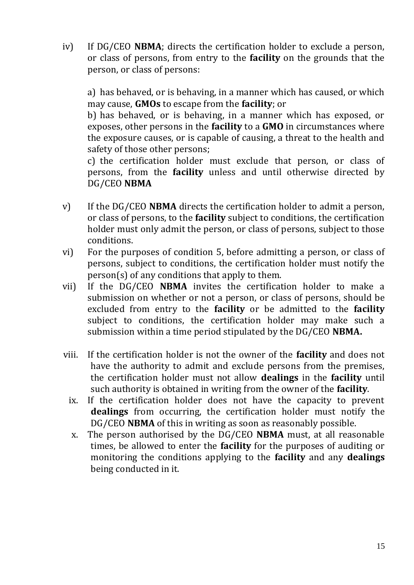iv) If DG/CEO **NBMA**; directs the certification holder to exclude a person, or class of persons, from entry to the **facility** on the grounds that the person, or class of persons:

a) has behaved, or is behaving, in a manner which has caused, or which may cause, **GMOs** to escape from the **facility**; or

b) has behaved, or is behaving, in a manner which has exposed, or exposes, other persons in the **facility** to a **GMO** in circumstances where the exposure causes, or is capable of causing, a threat to the health and safety of those other persons;

c) the certification holder must exclude that person, or class of persons, from the **facility** unless and until otherwise directed by DG/CEO **NBMA**

- v) If the DG/CEO **NBMA** directs the certification holder to admit a person, or class of persons, to the **facility** subject to conditions, the certification holder must only admit the person, or class of persons, subject to those conditions.
- vi) For the purposes of condition 5, before admitting a person, or class of persons, subject to conditions, the certification holder must notify the person(s) of any conditions that apply to them.
- vii) If the DG/CEO **NBMA** invites the certification holder to make a submission on whether or not a person, or class of persons, should be excluded from entry to the **facility** or be admitted to the **facility** subject to conditions, the certification holder may make such a submission within a time period stipulated by the DG/CEO **NBMA.**
- viii. If the certification holder is not the owner of the **facility** and does not have the authority to admit and exclude persons from the premises, the certification holder must not allow **dealings** in the **facility** until such authority is obtained in writing from the owner of the **facility**.
	- ix. If the certification holder does not have the capacity to prevent **dealings** from occurring, the certification holder must notify the DG/CEO **NBMA** of this in writing as soon as reasonably possible.
	- x. The person authorised by the DG/CEO **NBMA** must, at all reasonable times, be allowed to enter the **facility** for the purposes of auditing or monitoring the conditions applying to the **facility** and any **dealings** being conducted in it.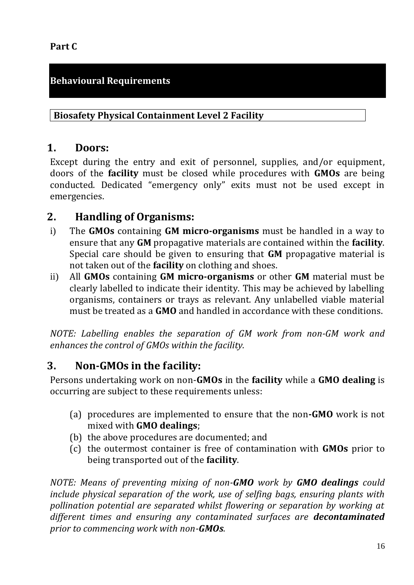#### **Part C**

## **Behavioural Requirements**

#### **Biosafety Physical Containment Level 2 Facility**

#### **1. Doors:**

Except during the entry and exit of personnel, supplies, and/or equipment, doors of the **facility** must be closed while procedures with **GMOs** are being conducted. Dedicated "emergency only" exits must not be used except in emergencies.

# **2. Handling of Organisms:**

- i) The **GMOs** containing **GM micro-organisms** must be handled in a way to ensure that any **GM** propagative materials are contained within the **facility**. Special care should be given to ensuring that **GM** propagative material is not taken out of the **facility** on clothing and shoes.
- ii) All **GMOs** containing **GM micro-organisms** or other **GM** material must be clearly labelled to indicate their identity. This may be achieved by labelling organisms, containers or trays as relevant. Any unlabelled viable material must be treated as a **GMO** and handled in accordance with these conditions.

*NOTE: Labelling enables the separation of GM work from non-GM work and enhances the control of GMOs within the facility.*

# **3. Non-GMOs in the facility:**

Persons undertaking work on non-**GMOs** in the **facility** while a **GMO dealing** is occurring are subject to these requirements unless:

- (a) procedures are implemented to ensure that the non**-GMO** work is not mixed with **GMO dealings**;
- (b) the above procedures are documented; and
- (c) the outermost container is free of contamination with **GMOs** prior to being transported out of the **facility**.

*NOTE: Means of preventing mixing of non-GMO work by GMO dealings could include physical separation of the work, use of selfing bags, ensuring plants with pollination potential are separated whilst flowering or separation by working at different times and ensuring any contaminated surfaces are decontaminated prior to commencing work with non-GMOs.*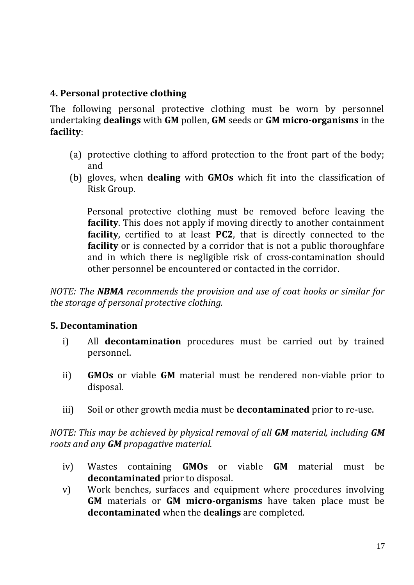#### **4. Personal protective clothing**

The following personal protective clothing must be worn by personnel undertaking **dealings** with **GM** pollen, **GM** seeds or **GM micro-organisms** in the **facility**:

- (a) protective clothing to afford protection to the front part of the body; and
- (b) gloves, when **dealing** with **GMOs** which fit into the classification of Risk Group.

 Personal protective clothing must be removed before leaving the **facility**. This does not apply if moving directly to another containment **facility**, certified to at least **PC2**, that is directly connected to the **facility** or is connected by a corridor that is not a public thoroughfare and in which there is negligible risk of cross-contamination should other personnel be encountered or contacted in the corridor.

*NOTE: The NBMA recommends the provision and use of coat hooks or similar for the storage of personal protective clothing.*

#### **5. Decontamination**

- i) All **decontamination** procedures must be carried out by trained personnel.
- ii) **GMOs** or viable **GM** material must be rendered non-viable prior to disposal.
- iii) Soil or other growth media must be **decontaminated** prior to re-use.

*NOTE: This may be achieved by physical removal of all GM material, including GM roots and any GM propagative material.*

- iv) Wastes containing **GMOs** or viable **GM** material must be **decontaminated** prior to disposal.
- v) Work benches, surfaces and equipment where procedures involving **GM** materials or **GM micro-organisms** have taken place must be **decontaminated** when the **dealings** are completed.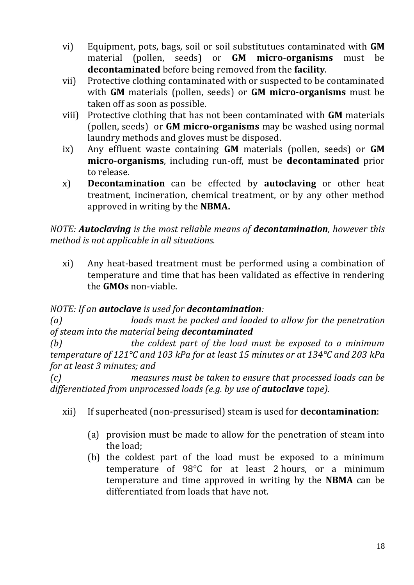- vi) Equipment, pots, bags, soil or soil substitutues contaminated with **GM**  material (pollen, seeds) or **GM micro-organisms** must be **decontaminated** before being removed from the **facility**.
- vii) Protective clothing contaminated with or suspected to be contaminated with **GM** materials (pollen, seeds) or **GM micro-organisms** must be taken off as soon as possible.
- viii) Protective clothing that has not been contaminated with **GM** materials (pollen, seeds) or **GM micro-organisms** may be washed using normal laundry methods and gloves must be disposed.
- ix) Any effluent waste containing **GM** materials (pollen, seeds) or **GM micro-organisms**, including run-off, must be **decontaminated** prior to release.
- x) **Decontamination** can be effected by **autoclaving** or other heat treatment, incineration, chemical treatment, or by any other method approved in writing by the **NBMA.**

#### *NOTE: Autoclaving is the most reliable means of decontamination, however this method is not applicable in all situations.*

xi) Any heat-based treatment must be performed using a combination of temperature and time that has been validated as effective in rendering the **GMOs** non-viable.

# *NOTE: If an autoclave is used for decontamination:*

*(a) loads must be packed and loaded to allow for the penetration of steam into the material being decontaminated*

*(b) the coldest part of the load must be exposed to a minimum temperature of 121°C and 103 kPa for at least 15 minutes or at 134°C and 203 kPa for at least 3 minutes; and*

*(c) measures must be taken to ensure that processed loads can be differentiated from unprocessed loads (e.g. by use of autoclave tape).*

- xii) If superheated (non-pressurised) steam is used for **decontamination**:
	- (a) provision must be made to allow for the penetration of steam into the load;
	- (b) the coldest part of the load must be exposed to a minimum temperature of 98°C for at least 2 hours, or a minimum temperature and time approved in writing by the **NBMA** can be differentiated from loads that have not.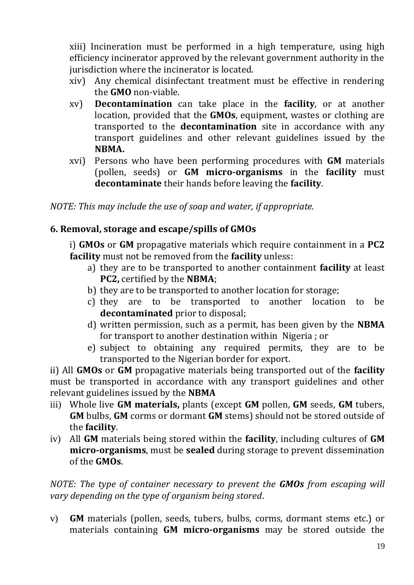xiii) Incineration must be performed in a high temperature, using high efficiency incinerator approved by the relevant government authority in the jurisdiction where the incinerator is located.

- xiv) Any chemical disinfectant treatment must be effective in rendering the **GMO** non-viable.
- xv) **Decontamination** can take place in the **facility**, or at another location, provided that the **GMOs**, equipment, wastes or clothing are transported to the **decontamination** site in accordance with any transport guidelines and other relevant guidelines issued by the **NBMA.**
- xvi) Persons who have been performing procedures with **GM** materials (pollen, seeds) or **GM micro-organisms** in the **facility** must **decontaminate** their hands before leaving the **facility**.

*NOTE: This may include the use of soap and water, if appropriate.* 

#### **6. Removal, storage and escape/spills of GMOs**

i) **GMOs** or **GM** propagative materials which require containment in a **PC2 facility** must not be removed from the **facility** unless:

- a) they are to be transported to another containment **facility** at least **PC2,** certified by the **NBMA**;
- b) they are to be transported to another location for storage;
- c) they are to be transported to another location to be **decontaminated** prior to disposal;
- d) written permission, such as a permit, has been given by the **NBMA** for transport to another destination within Nigeria ; or
- e) subject to obtaining any required permits, they are to be transported to the Nigerian border for export.

ii) All **GMOs** or **GM** propagative materials being transported out of the **facility** must be transported in accordance with any transport guidelines and other relevant guidelines issued by the **NBMA**

- iii) Whole live **GM materials,** plants (except **GM** pollen, **GM** seeds, **GM** tubers, **GM** bulbs, **GM** corms or dormant **GM** stems) should not be stored outside of the **facility**.
- iv) All **GM** materials being stored within the **facility**, including cultures of **GM micro-organisms**, must be **sealed** during storage to prevent dissemination of the **GMOs**.

*NOTE: The type of container necessary to prevent the GMOs from escaping will vary depending on the type of organism being stored*.

v) **GM** materials (pollen, seeds, tubers, bulbs, corms, dormant stems etc.) or materials containing **GM micro-organisms** may be stored outside the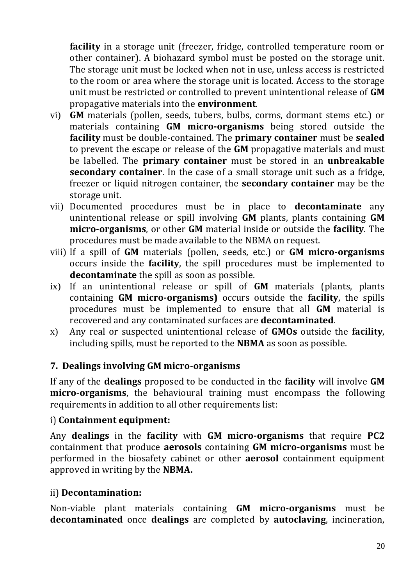**facility** in a storage unit (freezer, fridge, controlled temperature room or other container). A biohazard symbol must be posted on the storage unit. The storage unit must be locked when not in use, unless access is restricted to the room or area where the storage unit is located. Access to the storage unit must be restricted or controlled to prevent unintentional release of **GM**  propagative materials into the **environment**.

- vi) **GM** materials (pollen, seeds, tubers, bulbs, corms, dormant stems etc.) or materials containing **GM micro-organisms** being stored outside the **facility** must be double-contained. The **primary container** must be **sealed** to prevent the escape or release of the **GM** propagative materials and must be labelled. The **primary container** must be stored in an **unbreakable secondary container**. In the case of a small storage unit such as a fridge, freezer or liquid nitrogen container, the **secondary container** may be the storage unit.
- vii) Documented procedures must be in place to **decontaminate** any unintentional release or spill involving **GM** plants, plants containing **GM micro-organisms**, or other **GM** material inside or outside the **facility**. The procedures must be made available to the NBMA on request.
- viii) If a spill of **GM** materials (pollen, seeds, etc.) or **GM micro-organisms** occurs inside the **facility**, the spill procedures must be implemented to **decontaminate** the spill as soon as possible.
- ix) If an unintentional release or spill of **GM** materials (plants, plants containing **GM micro-organisms)** occurs outside the **facility**, the spills procedures must be implemented to ensure that all **GM** material is recovered and any contaminated surfaces are **decontaminated**.
- x) Any real or suspected unintentional release of **GMOs** outside the **facility**, including spills, must be reported to the **NBMA** as soon as possible.

#### **7. Dealings involving GM micro-organisms**

If any of the **dealings** proposed to be conducted in the **facility** will involve **GM micro-organisms**, the behavioural training must encompass the following requirements in addition to all other requirements list:

#### i) **Containment equipment:**

Any **dealings** in the **facility** with **GM micro-organisms** that require **PC2**  containment that produce **aerosols** containing **GM micro-organisms** must be performed in the biosafety cabinet or other **aerosol** containment equipment approved in writing by the **NBMA.**

#### ii) **Decontamination:**

Non-viable plant materials containing **GM micro-organisms** must be **decontaminated** once **dealings** are completed by **autoclaving**, incineration,